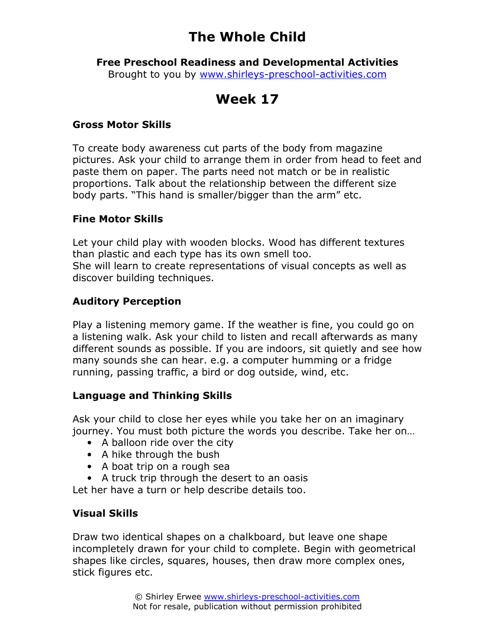# The Whole Child

Free Preschool Readiness and Developmental Activities Brought to you by www.shirleys-preschool-activities.com

# Week 17

### Gross Motor Skills

To create body awareness cut parts of the body from magazine pictures. Ask your child to arrange them in order from head to feet and paste them on paper. The parts need not match or be in realistic proportions. Talk about the relationship between the different size body parts. "This hand is smaller/bigger than the arm" etc.

### Fine Motor Skills

Let your child play with wooden blocks. Wood has different textures than plastic and each type has its own smell too. She will learn to create representations of visual concepts as well as discover building techniques.

## Auditory Perception

Play a listening memory game. If the weather is fine, you could go on a listening walk. Ask your child to listen and recall afterwards as many different sounds as possible. If you are indoors, sit quietly and see how many sounds she can hear. e.g. a computer humming or a fridge running, passing traffic, a bird or dog outside, wind, etc.

### Language and Thinking Skills

Ask your child to close her eyes while you take her on an imaginary journey. You must both picture the words you describe. Take her on…

- A balloon ride over the city
- A hike through the bush
- A boat trip on a rough sea
- A truck trip through the desert to an oasis

Let her have a turn or help describe details too.

### Visual Skills

Draw two identical shapes on a chalkboard, but leave one shape incompletely drawn for your child to complete. Begin with geometrical shapes like circles, squares, houses, then draw more complex ones, stick figures etc.